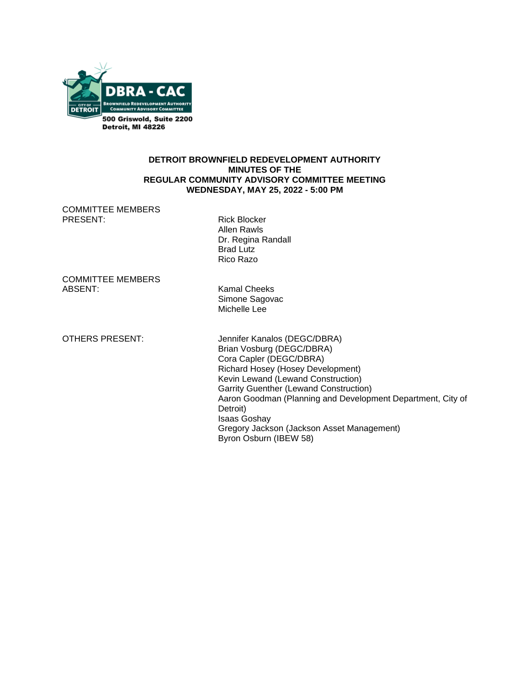

#### **DETROIT BROWNFIELD REDEVELOPMENT AUTHORITY MINUTES OF THE REGULAR COMMUNITY ADVISORY COMMITTEE MEETING WEDNESDAY, MAY 25, 2022 - 5:00 PM**

COMMITTEE MEMBERS PRESENT: Rick Blocker

 Allen Rawls Dr. Regina Randall Brad Lutz Rico Razo

COMMITTEE MEMBERS ABSENT: Kamal Cheeks

Simone Sagovac Michelle Lee

OTHERS PRESENT: Jennifer Kanalos (DEGC/DBRA) Brian Vosburg (DEGC/DBRA) Cora Capler (DEGC/DBRA) Richard Hosey (Hosey Development) Kevin Lewand (Lewand Construction) Garrity Guenther (Lewand Construction) Aaron Goodman (Planning and Development Department, City of Detroit) Isaas Goshay Gregory Jackson (Jackson Asset Management) Byron Osburn (IBEW 58)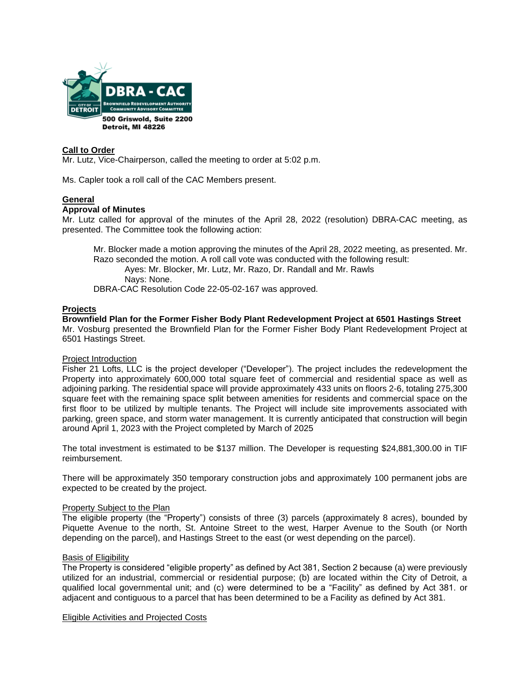

#### **Call to Order**

Mr. Lutz, Vice-Chairperson, called the meeting to order at 5:02 p.m.

Ms. Capler took a roll call of the CAC Members present.

### **General**

#### **Approval of Minutes**

Mr. Lutz called for approval of the minutes of the April 28, 2022 (resolution) DBRA-CAC meeting, as presented. The Committee took the following action:

Mr. Blocker made a motion approving the minutes of the April 28, 2022 meeting, as presented. Mr. Razo seconded the motion. A roll call vote was conducted with the following result: Ayes: Mr. Blocker, Mr. Lutz, Mr. Razo, Dr. Randall and Mr. Rawls Nays: None. DBRA-CAC Resolution Code 22-05-02-167 was approved.

#### **Projects**

**Brownfield Plan for the Former Fisher Body Plant Redevelopment Project at 6501 Hastings Street** Mr. Vosburg presented the Brownfield Plan for the Former Fisher Body Plant Redevelopment Project at 6501 Hastings Street.

#### Project Introduction

Fisher 21 Lofts, LLC is the project developer ("Developer"). The project includes the redevelopment the Property into approximately 600,000 total square feet of commercial and residential space as well as adjoining parking. The residential space will provide approximately 433 units on floors 2-6, totaling 275,300 square feet with the remaining space split between amenities for residents and commercial space on the first floor to be utilized by multiple tenants. The Project will include site improvements associated with parking, green space, and storm water management. It is currently anticipated that construction will begin around April 1, 2023 with the Project completed by March of 2025

The total investment is estimated to be \$137 million. The Developer is requesting \$24,881,300.00 in TIF reimbursement.

There will be approximately 350 temporary construction jobs and approximately 100 permanent jobs are expected to be created by the project.

#### Property Subject to the Plan

The eligible property (the "Property") consists of three (3) parcels (approximately 8 acres), bounded by Piquette Avenue to the north, St. Antoine Street to the west, Harper Avenue to the South (or North depending on the parcel), and Hastings Street to the east (or west depending on the parcel).

#### Basis of Eligibility

The Property is considered "eligible property" as defined by Act 381, Section 2 because (a) were previously utilized for an industrial, commercial or residential purpose; (b) are located within the City of Detroit, a qualified local governmental unit; and (c) were determined to be a "Facility" as defined by Act 381. or adjacent and contiguous to a parcel that has been determined to be a Facility as defined by Act 381.

Eligible Activities and Projected Costs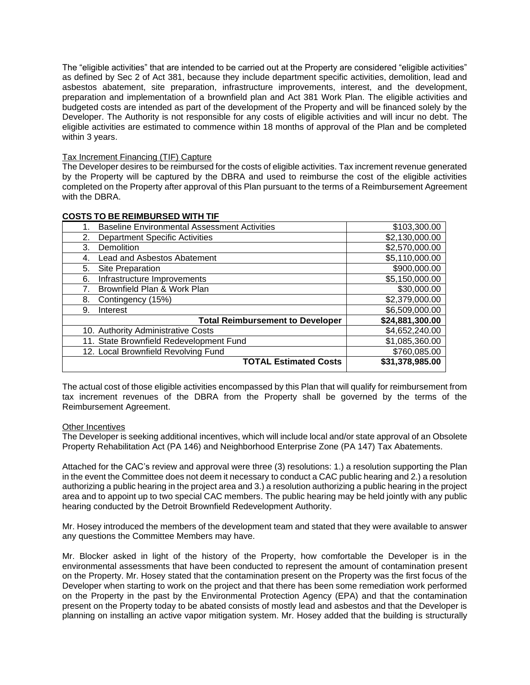The "eligible activities" that are intended to be carried out at the Property are considered "eligible activities" as defined by Sec 2 of Act 381, because they include department specific activities, demolition, lead and asbestos abatement, site preparation, infrastructure improvements, interest, and the development, preparation and implementation of a brownfield plan and Act 381 Work Plan. The eligible activities and budgeted costs are intended as part of the development of the Property and will be financed solely by the Developer. The Authority is not responsible for any costs of eligible activities and will incur no debt. The eligible activities are estimated to commence within 18 months of approval of the Plan and be completed within 3 years.

### Tax Increment Financing (TIF) Capture

The Developer desires to be reimbursed for the costs of eligible activities. Tax increment revenue generated by the Property will be captured by the DBRA and used to reimburse the cost of the eligible activities completed on the Property after approval of this Plan pursuant to the terms of a Reimbursement Agreement with the DBRA.

| <b>Baseline Environmental Assessment Activities</b> | \$103,300,00    |
|-----------------------------------------------------|-----------------|
| Department Specific Activities<br>2.                | \$2,130,000.00  |
| Demolition<br>3.                                    | \$2,570,000.00  |
| <b>Lead and Asbestos Abatement</b><br>4.            | \$5,110,000.00  |
| Site Preparation<br>5.                              | \$900,000.00    |
| Infrastructure Improvements<br>6.                   | \$5,150,000.00  |
| Brownfield Plan & Work Plan                         | \$30,000.00     |
| 8.<br>Contingency (15%)                             | \$2,379,000.00  |
| 9.<br>Interest                                      | \$6,509,000.00  |
| <b>Total Reimbursement to Developer</b>             | \$24,881,300.00 |
| 10. Authority Administrative Costs                  | \$4,652,240.00  |
| 11. State Brownfield Redevelopment Fund             | \$1,085,360.00  |
| 12. Local Brownfield Revolving Fund                 | \$760,085.00    |
| <b>TOTAL Estimated Costs</b>                        | \$31,378,985.00 |

#### **COSTS TO BE REIMBURSED WITH TIF**

The actual cost of those eligible activities encompassed by this Plan that will qualify for reimbursement from tax increment revenues of the DBRA from the Property shall be governed by the terms of the Reimbursement Agreement.

#### Other Incentives

The Developer is seeking additional incentives, which will include local and/or state approval of an Obsolete Property Rehabilitation Act (PA 146) and Neighborhood Enterprise Zone (PA 147) Tax Abatements.

Attached for the CAC's review and approval were three (3) resolutions: 1.) a resolution supporting the Plan in the event the Committee does not deem it necessary to conduct a CAC public hearing and 2.) a resolution authorizing a public hearing in the project area and 3.) a resolution authorizing a public hearing in the project area and to appoint up to two special CAC members. The public hearing may be held jointly with any public hearing conducted by the Detroit Brownfield Redevelopment Authority.

Mr. Hosey introduced the members of the development team and stated that they were available to answer any questions the Committee Members may have.

Mr. Blocker asked in light of the history of the Property, how comfortable the Developer is in the environmental assessments that have been conducted to represent the amount of contamination present on the Property. Mr. Hosey stated that the contamination present on the Property was the first focus of the Developer when starting to work on the project and that there has been some remediation work performed on the Property in the past by the Environmental Protection Agency (EPA) and that the contamination present on the Property today to be abated consists of mostly lead and asbestos and that the Developer is planning on installing an active vapor mitigation system. Mr. Hosey added that the building is structurally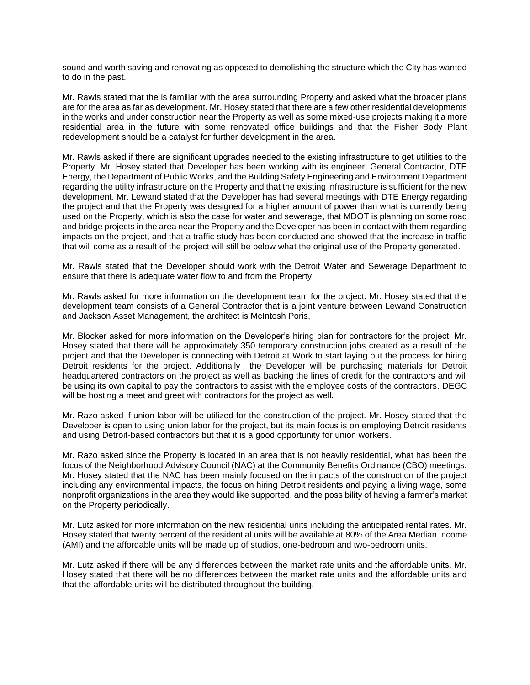sound and worth saving and renovating as opposed to demolishing the structure which the City has wanted to do in the past.

Mr. Rawls stated that the is familiar with the area surrounding Property and asked what the broader plans are for the area as far as development. Mr. Hosey stated that there are a few other residential developments in the works and under construction near the Property as well as some mixed-use projects making it a more residential area in the future with some renovated office buildings and that the Fisher Body Plant redevelopment should be a catalyst for further development in the area.

Mr. Rawls asked if there are significant upgrades needed to the existing infrastructure to get utilities to the Property. Mr. Hosey stated that Developer has been working with its engineer, General Contractor, DTE Energy, the Department of Public Works, and the Building Safety Engineering and Environment Department regarding the utility infrastructure on the Property and that the existing infrastructure is sufficient for the new development. Mr. Lewand stated that the Developer has had several meetings with DTE Energy regarding the project and that the Property was designed for a higher amount of power than what is currently being used on the Property, which is also the case for water and sewerage, that MDOT is planning on some road and bridge projects in the area near the Property and the Developer has been in contact with them regarding impacts on the project, and that a traffic study has been conducted and showed that the increase in traffic that will come as a result of the project will still be below what the original use of the Property generated.

Mr. Rawls stated that the Developer should work with the Detroit Water and Sewerage Department to ensure that there is adequate water flow to and from the Property.

Mr. Rawls asked for more information on the development team for the project. Mr. Hosey stated that the development team consists of a General Contractor that is a joint venture between Lewand Construction and Jackson Asset Management, the architect is McIntosh Poris,

Mr. Blocker asked for more information on the Developer's hiring plan for contractors for the project. Mr. Hosey stated that there will be approximately 350 temporary construction jobs created as a result of the project and that the Developer is connecting with Detroit at Work to start laying out the process for hiring Detroit residents for the project. Additionally the Developer will be purchasing materials for Detroit headquartered contractors on the project as well as backing the lines of credit for the contractors and will be using its own capital to pay the contractors to assist with the employee costs of the contractors. DEGC will be hosting a meet and greet with contractors for the project as well.

Mr. Razo asked if union labor will be utilized for the construction of the project. Mr. Hosey stated that the Developer is open to using union labor for the project, but its main focus is on employing Detroit residents and using Detroit-based contractors but that it is a good opportunity for union workers.

Mr. Razo asked since the Property is located in an area that is not heavily residential, what has been the focus of the Neighborhood Advisory Council (NAC) at the Community Benefits Ordinance (CBO) meetings. Mr. Hosey stated that the NAC has been mainly focused on the impacts of the construction of the project including any environmental impacts, the focus on hiring Detroit residents and paying a living wage, some nonprofit organizations in the area they would like supported, and the possibility of having a farmer's market on the Property periodically.

Mr. Lutz asked for more information on the new residential units including the anticipated rental rates. Mr. Hosey stated that twenty percent of the residential units will be available at 80% of the Area Median Income (AMI) and the affordable units will be made up of studios, one-bedroom and two-bedroom units.

Mr. Lutz asked if there will be any differences between the market rate units and the affordable units. Mr. Hosey stated that there will be no differences between the market rate units and the affordable units and that the affordable units will be distributed throughout the building.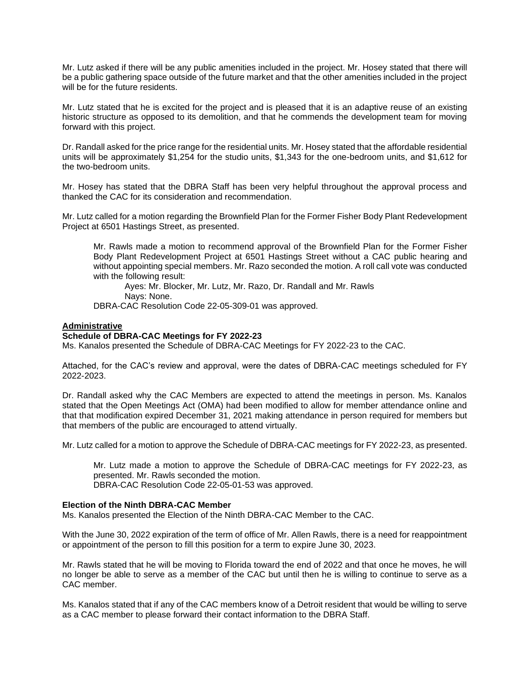Mr. Lutz asked if there will be any public amenities included in the project. Mr. Hosey stated that there will be a public gathering space outside of the future market and that the other amenities included in the project will be for the future residents.

Mr. Lutz stated that he is excited for the project and is pleased that it is an adaptive reuse of an existing historic structure as opposed to its demolition, and that he commends the development team for moving forward with this project.

Dr. Randall asked for the price range for the residential units. Mr. Hosey stated that the affordable residential units will be approximately \$1,254 for the studio units, \$1,343 for the one-bedroom units, and \$1,612 for the two-bedroom units.

Mr. Hosey has stated that the DBRA Staff has been very helpful throughout the approval process and thanked the CAC for its consideration and recommendation.

Mr. Lutz called for a motion regarding the Brownfield Plan for the Former Fisher Body Plant Redevelopment Project at 6501 Hastings Street, as presented.

Mr. Rawls made a motion to recommend approval of the Brownfield Plan for the Former Fisher Body Plant Redevelopment Project at 6501 Hastings Street without a CAC public hearing and without appointing special members. Mr. Razo seconded the motion. A roll call vote was conducted with the following result:

Ayes: Mr. Blocker, Mr. Lutz, Mr. Razo, Dr. Randall and Mr. Rawls Nays: None.

DBRA-CAC Resolution Code 22-05-309-01 was approved.

#### **Administrative**

#### **Schedule of DBRA-CAC Meetings for FY 2022-23**

Ms. Kanalos presented the Schedule of DBRA-CAC Meetings for FY 2022-23 to the CAC.

Attached, for the CAC's review and approval, were the dates of DBRA-CAC meetings scheduled for FY 2022-2023.

Dr. Randall asked why the CAC Members are expected to attend the meetings in person. Ms. Kanalos stated that the Open Meetings Act (OMA) had been modified to allow for member attendance online and that that modification expired December 31, 2021 making attendance in person required for members but that members of the public are encouraged to attend virtually.

Mr. Lutz called for a motion to approve the Schedule of DBRA-CAC meetings for FY 2022-23, as presented.

Mr. Lutz made a motion to approve the Schedule of DBRA-CAC meetings for FY 2022-23, as presented. Mr. Rawls seconded the motion.

DBRA-CAC Resolution Code 22-05-01-53 was approved.

#### **Election of the Ninth DBRA-CAC Member**

Ms. Kanalos presented the Election of the Ninth DBRA-CAC Member to the CAC.

With the June 30, 2022 expiration of the term of office of Mr. Allen Rawls, there is a need for reappointment or appointment of the person to fill this position for a term to expire June 30, 2023.

Mr. Rawls stated that he will be moving to Florida toward the end of 2022 and that once he moves, he will no longer be able to serve as a member of the CAC but until then he is willing to continue to serve as a CAC member.

Ms. Kanalos stated that if any of the CAC members know of a Detroit resident that would be willing to serve as a CAC member to please forward their contact information to the DBRA Staff.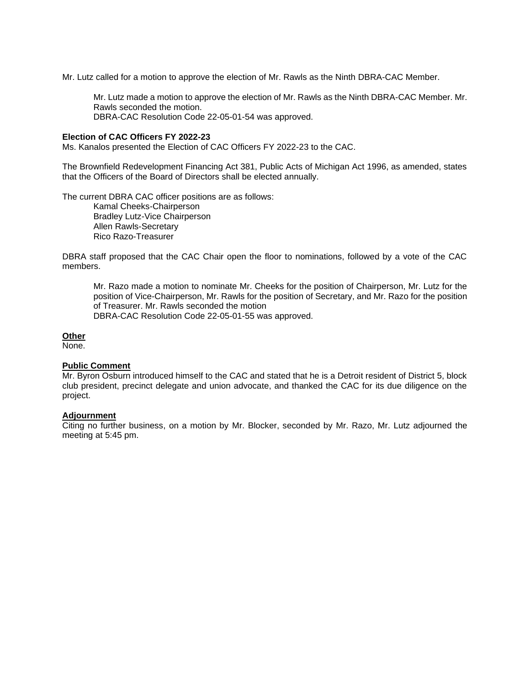Mr. Lutz called for a motion to approve the election of Mr. Rawls as the Ninth DBRA-CAC Member.

Mr. Lutz made a motion to approve the election of Mr. Rawls as the Ninth DBRA-CAC Member. Mr. Rawls seconded the motion. DBRA-CAC Resolution Code 22-05-01-54 was approved.

#### **Election of CAC Officers FY 2022-23**

Ms. Kanalos presented the Election of CAC Officers FY 2022-23 to the CAC.

The Brownfield Redevelopment Financing Act 381, Public Acts of Michigan Act 1996, as amended, states that the Officers of the Board of Directors shall be elected annually.

The current DBRA CAC officer positions are as follows:

Kamal Cheeks-Chairperson Bradley Lutz-Vice Chairperson Allen Rawls-Secretary Rico Razo-Treasurer

DBRA staff proposed that the CAC Chair open the floor to nominations, followed by a vote of the CAC members.

Mr. Razo made a motion to nominate Mr. Cheeks for the position of Chairperson, Mr. Lutz for the position of Vice-Chairperson, Mr. Rawls for the position of Secretary, and Mr. Razo for the position of Treasurer. Mr. Rawls seconded the motion DBRA-CAC Resolution Code 22-05-01-55 was approved.

#### **Other**

None.

#### **Public Comment**

Mr. Byron Osburn introduced himself to the CAC and stated that he is a Detroit resident of District 5, block club president, precinct delegate and union advocate, and thanked the CAC for its due diligence on the project.

# **Adjournment**

Citing no further business, on a motion by Mr. Blocker, seconded by Mr. Razo, Mr. Lutz adjourned the meeting at 5:45 pm.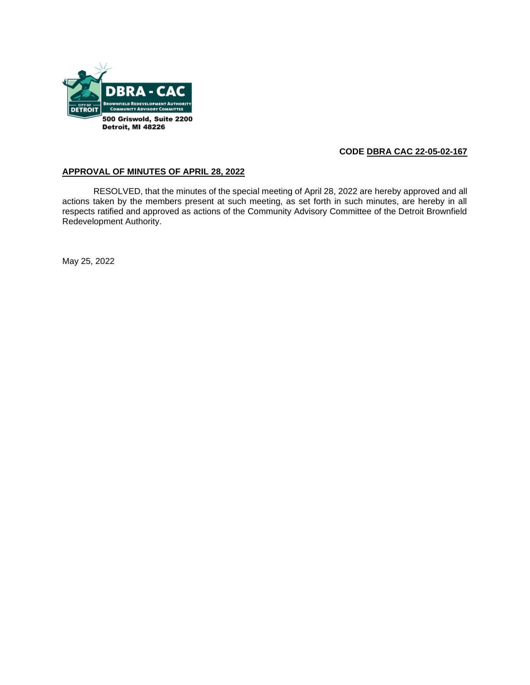

# **CODE DBRA CAC 22-05-02-167**

## **APPROVAL OF MINUTES OF APRIL 28, 2022**

RESOLVED, that the minutes of the special meeting of April 28, 2022 are hereby approved and all actions taken by the members present at such meeting, as set forth in such minutes, are hereby in all respects ratified and approved as actions of the Community Advisory Committee of the Detroit Brownfield Redevelopment Authority.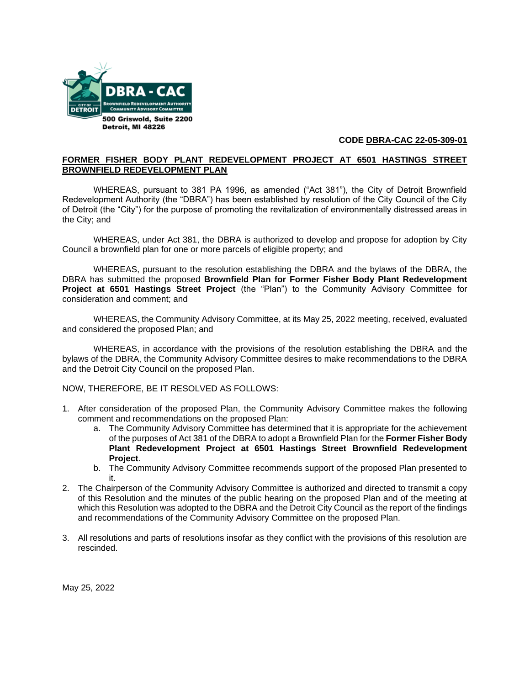

# **CODE DBRA-CAC 22-05-309-01**

#### **FORMER FISHER BODY PLANT REDEVELOPMENT PROJECT AT 6501 HASTINGS STREET BROWNFIELD REDEVELOPMENT PLAN**

WHEREAS, pursuant to 381 PA 1996, as amended ("Act 381"), the City of Detroit Brownfield Redevelopment Authority (the "DBRA") has been established by resolution of the City Council of the City of Detroit (the "City") for the purpose of promoting the revitalization of environmentally distressed areas in the City; and

WHEREAS, under Act 381, the DBRA is authorized to develop and propose for adoption by City Council a brownfield plan for one or more parcels of eligible property; and

WHEREAS, pursuant to the resolution establishing the DBRA and the bylaws of the DBRA, the DBRA has submitted the proposed **Brownfield Plan for Former Fisher Body Plant Redevelopment Project at 6501 Hastings Street Project** (the "Plan") to the Community Advisory Committee for consideration and comment; and

WHEREAS, the Community Advisory Committee, at its May 25, 2022 meeting, received, evaluated and considered the proposed Plan; and

WHEREAS, in accordance with the provisions of the resolution establishing the DBRA and the bylaws of the DBRA, the Community Advisory Committee desires to make recommendations to the DBRA and the Detroit City Council on the proposed Plan.

NOW, THEREFORE, BE IT RESOLVED AS FOLLOWS:

- 1. After consideration of the proposed Plan, the Community Advisory Committee makes the following comment and recommendations on the proposed Plan:
	- a. The Community Advisory Committee has determined that it is appropriate for the achievement of the purposes of Act 381 of the DBRA to adopt a Brownfield Plan for the **Former Fisher Body Plant Redevelopment Project at 6501 Hastings Street Brownfield Redevelopment Project**.
	- b. The Community Advisory Committee recommends support of the proposed Plan presented to it.
- 2. The Chairperson of the Community Advisory Committee is authorized and directed to transmit a copy of this Resolution and the minutes of the public hearing on the proposed Plan and of the meeting at which this Resolution was adopted to the DBRA and the Detroit City Council as the report of the findings and recommendations of the Community Advisory Committee on the proposed Plan.
- 3. All resolutions and parts of resolutions insofar as they conflict with the provisions of this resolution are rescinded.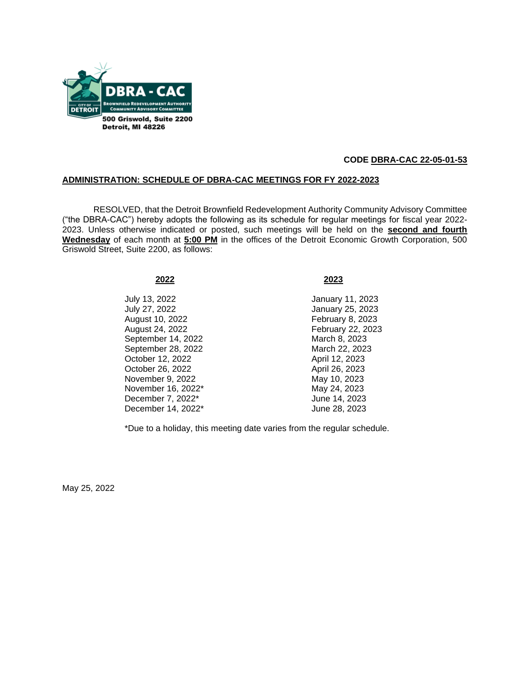

# **CODE DBRA-CAC 22-05-01-53**

#### **ADMINISTRATION: SCHEDULE OF DBRA-CAC MEETINGS FOR FY 2022-2023**

RESOLVED, that the Detroit Brownfield Redevelopment Authority Community Advisory Committee ("the DBRA-CAC") hereby adopts the following as its schedule for regular meetings for fiscal year 2022- 2023. Unless otherwise indicated or posted, such meetings will be held on the **second and fourth Wednesday** of each month at **5:00 PM** in the offices of the Detroit Economic Growth Corporation, 500 Griswold Street, Suite 2200, as follows:

#### **2022 2023**

July 13, 2022 January 11, 2023 August 10, 2022 February 8, 2023 August 24, 2022 February 22, 2023 September 14, 2022 March 8, 2023 September 28, 2022 March 22, 2023 October 12, 2022 April 12, 2023 October 26, 2022 April 26, 2023 November 9, 2022 May 10, 2023 November 16, 2022\* May 24, 2023 December 7, 2022\* June 14, 2023 December 14, 2022\* June 28, 2023

January 25, 2023

\*Due to a holiday, this meeting date varies from the regular schedule.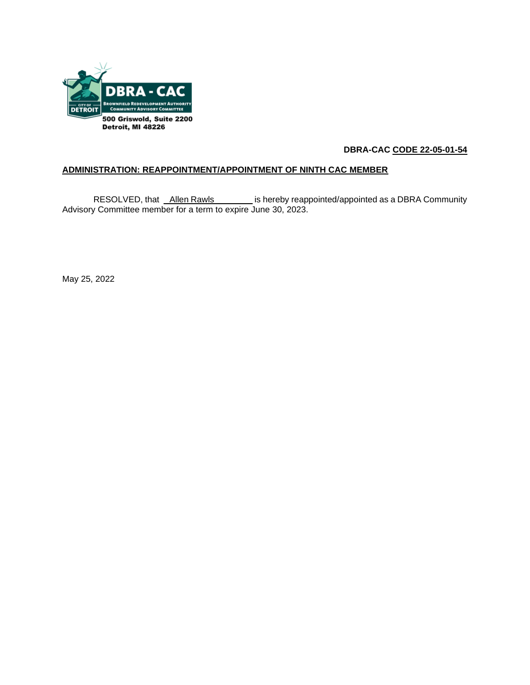

# **DBRA-CAC CODE 22-05-01-54**

# **ADMINISTRATION: REAPPOINTMENT/APPOINTMENT OF NINTH CAC MEMBER**

RESOLVED, that Allen Rawls is hereby reappointed/appointed as a DBRA Community Advisory Committee member for a term to expire June 30, 2023.